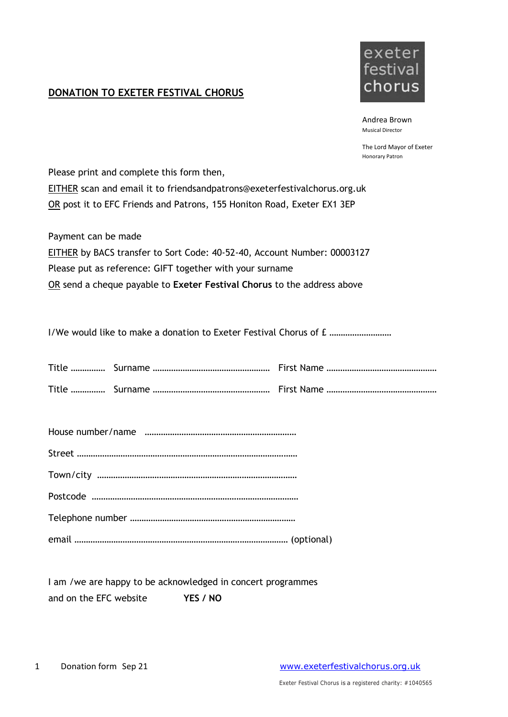## **DONATION TO EXETER FESTIVAL CHORUS**



Andrea Brown Musical Director

The Lord Mayor of Exeter Honorary Patron

Please print and complete this form then, EITHER scan and email it to friendsandpatrons@exeterfestivalchorus.org.uk OR post it to EFC Friends and Patrons, 155 Honiton Road, Exeter EX1 3EP

Payment can be made EITHER by BACS transfer to Sort Code: 40-52-40, Account Number: 00003127 Please put as reference: GIFT together with your surname OR send a cheque payable to **Exeter Festival Chorus** to the address above

I/We would like to make a donation to Exeter Festival Chorus of £ .................................

I am /we are happy to be acknowledged in concert programmes and on the EFC website **YES / NO**